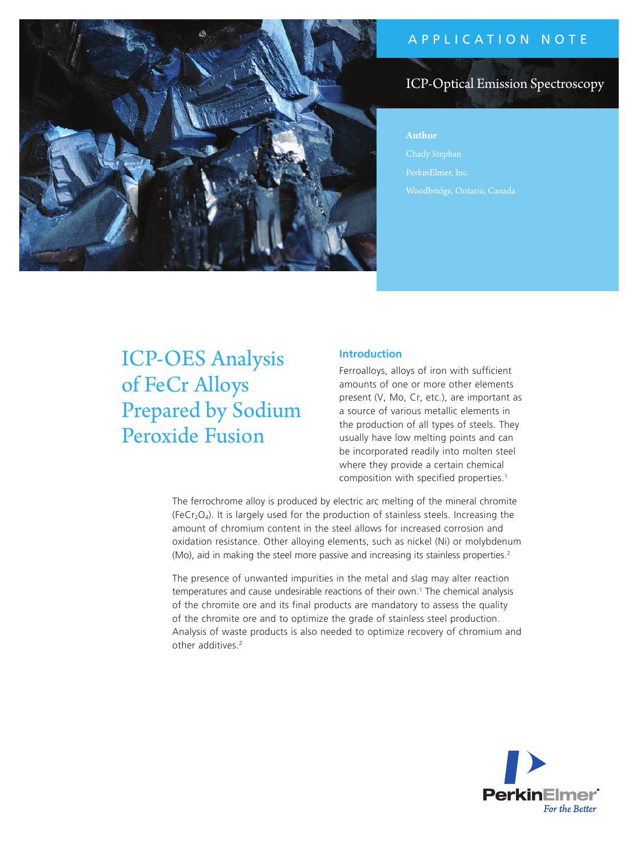# application N ote



# ICP-Optical Emission Spectroscopy

**Author**

# ICP-OES Analysis of FeCr Alloys Prepared by Sodium Peroxide Fusion

# **Introduction**

Ferroalloys, alloys of iron with sufficient amounts of one or more other elements present (V, Mo, Cr, etc.), are important as a source of various metallic elements in the production of all types of steels. They usually have low melting points and can be incorporated readily into molten steel where they provide a certain chemical composition with specified properties.<sup>1</sup>

The ferrochrome alloy is produced by electric arc melting of the mineral chromite (FeCr<sub>2</sub>O<sub>4</sub>). It is largely used for the production of stainless steels. Increasing the amount of chromium content in the steel allows for increased corrosion and oxidation resistance. Other alloying elements, such as nickel (Ni) or molybdenum (Mo), aid in making the steel more passive and increasing its stainless properties.<sup>2</sup>

The presence of unwanted impurities in the metal and slag may alter reaction temperatures and cause undesirable reactions of their own.<sup>1</sup> The chemical analysis of the chromite ore and its final products are mandatory to assess the quality of the chromite ore and to optimize the grade of stainless steel production. Analysis of waste products is also needed to optimize recovery of chromium and other additives.<sup>2</sup>

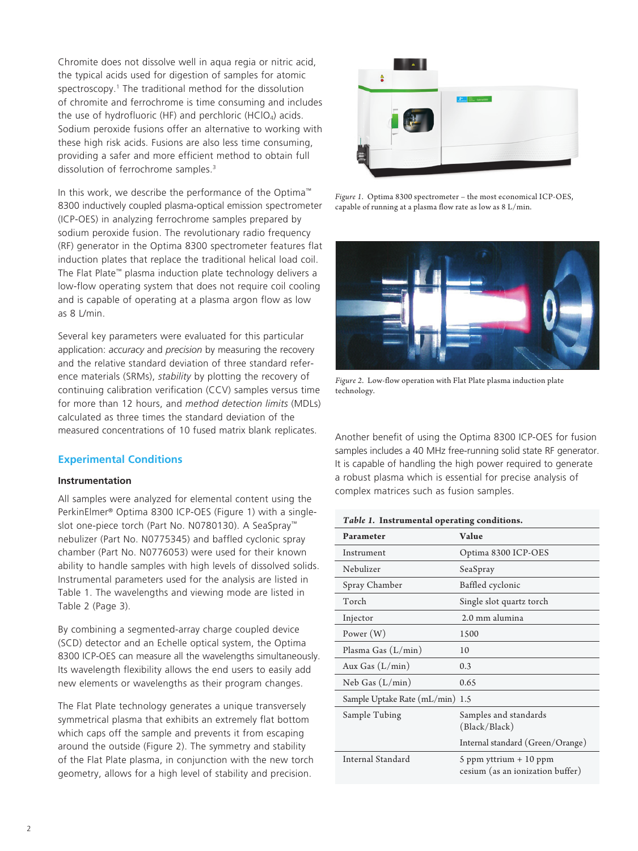Chromite does not dissolve well in aqua regia or nitric acid, the typical acids used for digestion of samples for atomic spectroscopy.<sup>1</sup> The traditional method for the dissolution of chromite and ferrochrome is time consuming and includes the use of hydrofluoric (HF) and perchloric (HClO<sub>4</sub>) acids. Sodium peroxide fusions offer an alternative to working with these high risk acids. Fusions are also less time consuming, providing a safer and more efficient method to obtain full dissolution of ferrochrome samples.<sup>3</sup>

In this work, we describe the performance of the Optima™ 8300 inductively coupled plasma-optical emission spectrometer (ICP-OES) in analyzing ferrochrome samples prepared by sodium peroxide fusion. The revolutionary radio frequency (RF) generator in the Optima 8300 spectrometer features flat induction plates that replace the traditional helical load coil. The Flat Plate™ plasma induction plate technology delivers a low-flow operating system that does not require coil cooling and is capable of operating at a plasma argon flow as low as 8 L/min.

Several key parameters were evaluated for this particular application: *accuracy* and *precision* by measuring the recovery and the relative standard deviation of three standard reference materials (SRMs), *stability* by plotting the recovery of continuing calibration verification (CCV) samples versus time for more than 12 hours, and *method detection limits* (MDLs) calculated as three times the standard deviation of the measured concentrations of 10 fused matrix blank replicates.

## **Experimental Conditions**

#### **Instrumentation**

All samples were analyzed for elemental content using the PerkinElmer® Optima 8300 ICP-OES (Figure 1) with a singleslot one-piece torch (Part No. N0780130). A SeaSpray™ nebulizer (Part No. N0775345) and baffled cyclonic spray chamber (Part No. N0776053) were used for their known ability to handle samples with high levels of dissolved solids. Instrumental parameters used for the analysis are listed in Table 1. The wavelengths and viewing mode are listed in Table 2 (Page 3).

By combining a segmented-array charge coupled device (SCD) detector and an Echelle optical system, the Optima 8300 ICP-OES can measure all the wavelengths simultaneously. Its wavelength flexibility allows the end users to easily add new elements or wavelengths as their program changes.

The Flat Plate technology generates a unique transversely symmetrical plasma that exhibits an extremely flat bottom which caps off the sample and prevents it from escaping around the outside (Figure 2). The symmetry and stability of the Flat Plate plasma, in conjunction with the new torch geometry, allows for a high level of stability and precision.



*Figure 1*. Optima 8300 spectrometer – the most economical ICP-OES, capable of running at a plasma flow rate as low as 8 L/min.



*Figure 2*. Low-flow operation with Flat Plate plasma induction plate technology.

Another benefit of using the Optima 8300 ICP-OES for fusion samples includes a 40 MHz free-running solid state RF generator. It is capable of handling the high power required to generate a robust plasma which is essential for precise analysis of complex matrices such as fusion samples.

| COMPLEX Matrices Such as Tusion Samples.                 |                                                              |  |
|----------------------------------------------------------|--------------------------------------------------------------|--|
| Table 1. Instrumental operating conditions.<br>Parameter | Value                                                        |  |
| Instrument                                               | Optima 8300 ICP-OES                                          |  |
| Nebulizer                                                | SeaSpray                                                     |  |
| Spray Chamber                                            | Baffled cyclonic                                             |  |
| Torch                                                    | Single slot quartz torch                                     |  |
| Injector                                                 | 2.0 mm alumina                                               |  |
| Power $(W)$                                              | 1500                                                         |  |
| Plasma Gas (L/min)                                       | 10                                                           |  |
| Aux Gas $(L/min)$                                        | 0.3                                                          |  |
| Neb Gas $(L/min)$                                        | 0.65                                                         |  |
| Sample Uptake Rate (mL/min) 1.5                          |                                                              |  |
| Sample Tubing                                            | Samples and standards<br>(Black/Black)                       |  |
|                                                          | Internal standard (Green/Orange)                             |  |
| Internal Standard                                        | $5$ ppm yttrium + 10 ppm<br>cesium (as an ionization buffer) |  |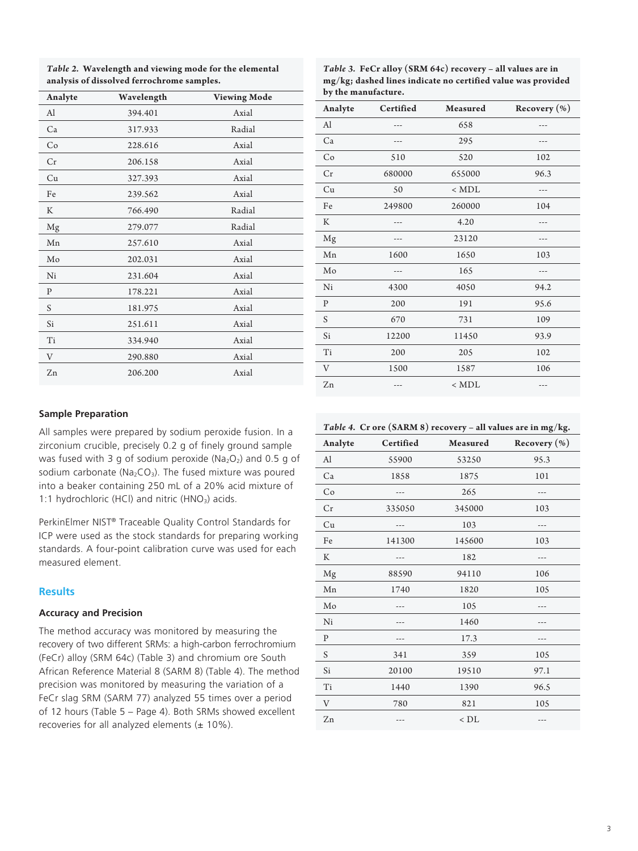*Table 2.* **Wavelength and viewing mode for the elemental analysis of dissolved ferrochrome samples.**

| Analyte | Wavelength | <b>Viewing Mode</b> |
|---------|------------|---------------------|
| Al      | 394.401    | Axial               |
| Ca      | 317.933    | Radial              |
| Co      | 228.616    | Axial               |
| Cr      | 206.158    | Axial               |
| Cu      | 327.393    | Axial               |
| Fe      | 239.562    | Axial               |
| K       | 766.490    | Radial              |
| Mg      | 279.077    | Radial              |
| Mn      | 257.610    | Axial               |
| Mo      | 202.031    | Axial               |
| Ni      | 231.604    | Axial               |
| P       | 178.221    | Axial               |
| S       | 181.975    | Axial               |
| Si      | 251.611    | Axial               |
| Ti      | 334.940    | Axial               |
| V       | 290.880    | Axial               |
| $Z_{n}$ | 206.200    | Axial               |

*Table 3.* **FeCr alloy (SRM 64c) recovery – all values are in mg/kg; dashed lines indicate no certified value was provided by the manufacture.** 

| Analyte     | Certified | Measured | Recovery (%) |
|-------------|-----------|----------|--------------|
| Al          |           | 658      | ---          |
| Ca          | $- - -$   | 295      | $- - -$      |
| Co          | 510       | 520      | 102          |
| Cr          | 680000    | 655000   | 96.3         |
| Cu          | 50        | $<$ MDL  |              |
| Fe          | 249800    | 260000   | 104          |
| K           |           | 4.20     |              |
| $_{\rm Mg}$ |           | 23120    |              |
| Mn          | 1600      | 1650     | 103          |
| Mo          |           | 165      |              |
| Ni          | 4300      | 4050     | 94.2         |
| P           | 200       | 191      | 95.6         |
| S           | 670       | 731      | 109          |
| Si          | 12200     | 11450    | 93.9         |
| Ti          | 200       | 205      | 102          |
| $\rm V$     | 1500      | 1587     | 106          |
| Zn          |           | $<$ MDL  |              |

# **Sample Preparation**

All samples were prepared by sodium peroxide fusion. In a zirconium crucible, precisely 0.2 g of finely ground sample was fused with 3 g of sodium peroxide ( $Na<sub>2</sub>O<sub>2</sub>$ ) and 0.5 g of sodium carbonate ( $Na<sub>2</sub>CO<sub>3</sub>$ ). The fused mixture was poured into a beaker containing 250 mL of a 20% acid mixture of 1:1 hydrochloric (HCl) and nitric (HNO<sub>3</sub>) acids.

PerkinElmer NIST® Traceable Quality Control Standards for ICP were used as the stock standards for preparing working standards. A four-point calibration curve was used for each measured element.

# **Results**

#### **Accuracy and Precision**

The method accuracy was monitored by measuring the recovery of two different SRMs: a high-carbon ferrochromium (FeCr) alloy (SRM 64c) (Table 3) and chromium ore South African Reference Material 8 (SARM 8) (Table 4). The method precision was monitored by measuring the variation of a FeCr slag SRM (SARM 77) analyzed 55 times over a period of 12 hours (Table 5 – Page 4). Both SRMs showed excellent recoveries for all analyzed elements  $(± 10\%).$ 

*Table 4.* **Cr ore (SARM 8) recovery – all values are in mg/kg.** 

| Analyte      | Certified | Measured     | Recovery $(\%)$ |
|--------------|-----------|--------------|-----------------|
| Al           | 55900     | 53250        | 95.3            |
| Ca           | 1858      | 1875         | 101             |
| Co           |           | 265          |                 |
| Cr           | 335050    | 345000       | 103             |
| Cu           |           | 103          | ---             |
| Fe           | 141300    | 145600       | 103             |
| K            | $- - -$   | 182          | ---             |
| Mg           | 88590     | 94110        | 106             |
| Mn           | 1740      | 1820         | 105             |
| Mo           |           | 105          |                 |
| Ni           |           | 1460         |                 |
| $\mathbf{P}$ | ---       | 17.3         | ---             |
| S            | 341       | 359          | 105             |
| Si           | 20100     | 19510        | 97.1            |
| Ti           | 1440      | 1390         | 96.5            |
| V            | 780       | 821          | 105             |
| Zn           | $--$      | $\langle DL$ | ---             |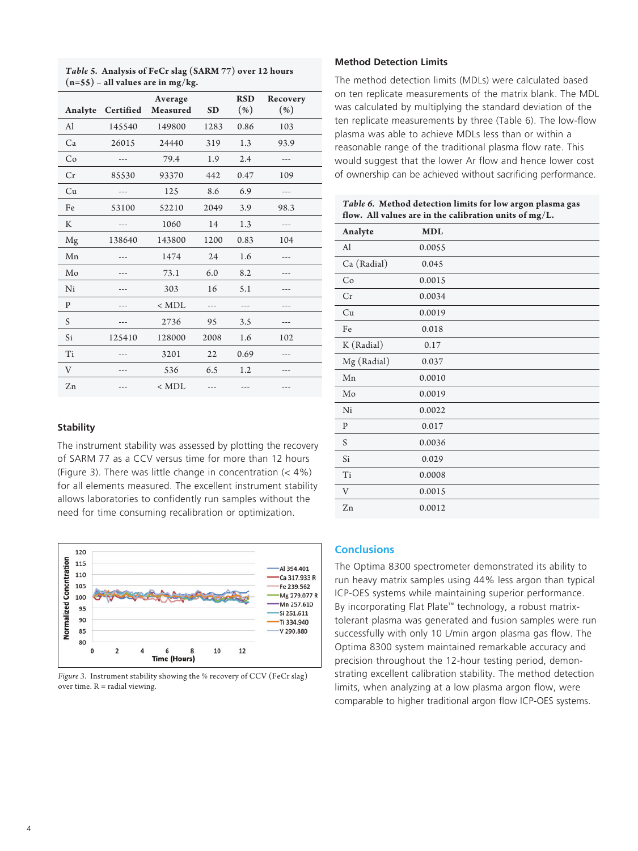*Table 5.* **Analysis of FeCr slag (SARM 77) over 12 hours (n=55) – all values are in mg/kg.** 

| Analyte       | Certified | Average<br>Measured | <b>SD</b> | <b>RSD</b><br>( %) | Recovery<br>( %) |
|---------------|-----------|---------------------|-----------|--------------------|------------------|
| $\mathbf{Al}$ | 145540    | 149800              | 1283      | 0.86               | 103              |
| Ca            | 26015     | 24440               | 319       | 1.3                | 93.9             |
| Co            |           | 79.4                | 1.9       | 2.4                |                  |
| Cr            | 85530     | 93370               | 442       | 0.47               | 109              |
| Cu            | ---       | 125                 | 8.6       | 6.9                | ---              |
| Fe            | 53100     | 52210               | 2049      | 3.9                | 98.3             |
| K             |           | 1060                | 14        | 1.3                |                  |
| Mg            | 138640    | 143800              | 1200      | 0.83               | 104              |
| Mn            |           | 1474                | 24        | 1.6                |                  |
| Mo            |           | 73.1                | 6.0       | 8.2                |                  |
| Ni            |           | 303                 | 16        | 5.1                |                  |
| P             |           | $<$ MDL             | $- - -$   | ---                |                  |
| S             | ---       | 2736                | 95        | 3.5                |                  |
| Si            | 125410    | 128000              | 2008      | 1.6                | 102              |
| Ti            |           | 3201                | 22        | 0.69               |                  |
| V             | $- - -$   | 536                 | 6.5       | 1.2                | ---              |
| Zn            |           | $<$ MDL             | ---       | ---                | ---              |

#### **Stability**

The instrument stability was assessed by plotting the recovery of SARM 77 as a CCV versus time for more than 12 hours (Figure 3). There was little change in concentration (< 4%) for all elements measured. The excellent instrument stability allows laboratories to confidently run samples without the need for time consuming recalibration or optimization.



*Figure 3*. Instrument stability showing the % recovery of CCV (FeCr slag) over time.  $R =$  radial viewing.

#### **Method Detection Limits**

The method detection limits (MDLs) were calculated based on ten replicate measurements of the matrix blank. The MDL was calculated by multiplying the standard deviation of the ten replicate measurements by three (Table 6). The low-flow plasma was able to achieve MDLs less than or within a reasonable range of the traditional plasma flow rate. This would suggest that the lower Ar flow and hence lower cost of ownership can be achieved without sacrificing performance.

|  | Table 6. Method detection limits for low argon plasma gas |  |
|--|-----------------------------------------------------------|--|
|  | flow. All values are in the calibration units of $mg/L$ . |  |

| Analyte     | <b>MDL</b> |  |
|-------------|------------|--|
| AI          | 0.0055     |  |
| Ca (Radial) | 0.045      |  |
| Co          | 0.0015     |  |
| Cr          | 0.0034     |  |
| Cu          | 0.0019     |  |
| Fe          | 0.018      |  |
| K (Radial)  | 0.17       |  |
| Mg (Radial) | 0.037      |  |
| Mn          | 0.0010     |  |
| Mo          | 0.0019     |  |
| Ni          | 0.0022     |  |
| P           | 0.017      |  |
| S           | 0.0036     |  |
| Si          | 0.029      |  |
| Ti          | 0.0008     |  |
| $\rm V$     | 0.0015     |  |
| Zn          | 0.0012     |  |

### **Conclusions**

The Optima 8300 spectrometer demonstrated its ability to run heavy matrix samples using 44% less argon than typical ICP-OES systems while maintaining superior performance. By incorporating Flat Plate™ technology, a robust matrixtolerant plasma was generated and fusion samples were run successfully with only 10 L/min argon plasma gas flow. The Optima 8300 system maintained remarkable accuracy and precision throughout the 12-hour testing period, demonstrating excellent calibration stability. The method detection limits, when analyzing at a low plasma argon flow, were comparable to higher traditional argon flow ICP-OES systems.